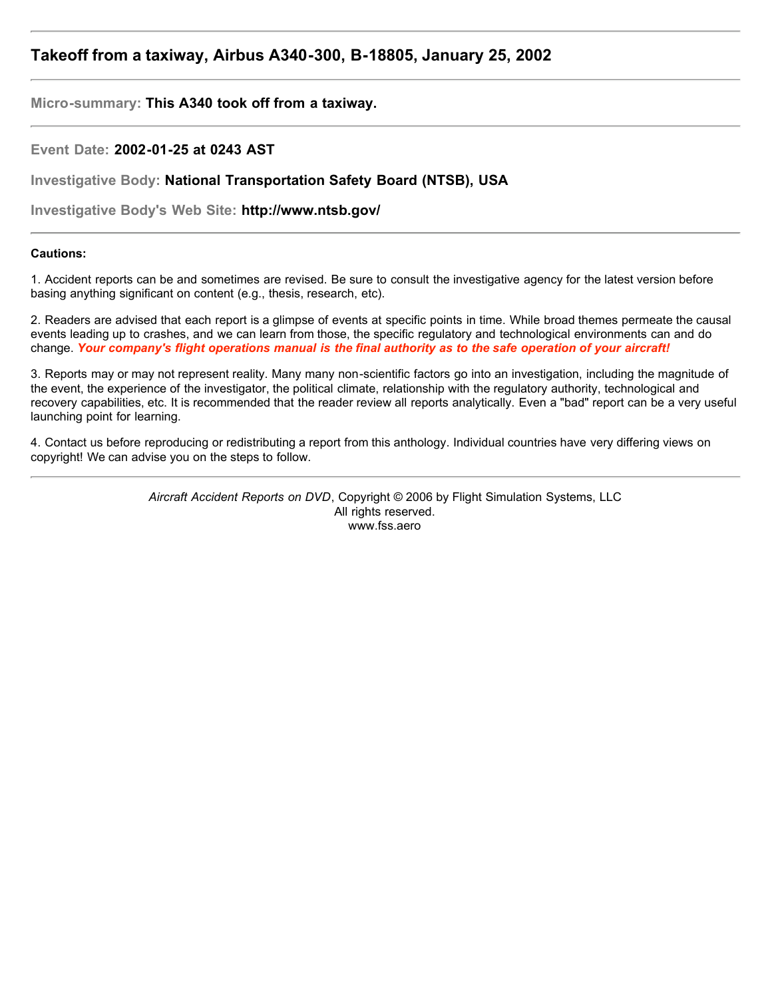# **Takeoff from a taxiway, Airbus A340-300, B-18805, January 25, 2002**

**Micro-summary: This A340 took off from a taxiway.**

**Event Date: 2002-01-25 at 0243 AST**

**Investigative Body: National Transportation Safety Board (NTSB), USA**

**Investigative Body's Web Site: http://www.ntsb.gov/**

## **Cautions:**

1. Accident reports can be and sometimes are revised. Be sure to consult the investigative agency for the latest version before basing anything significant on content (e.g., thesis, research, etc).

2. Readers are advised that each report is a glimpse of events at specific points in time. While broad themes permeate the causal events leading up to crashes, and we can learn from those, the specific regulatory and technological environments can and do change. *Your company's flight operations manual is the final authority as to the safe operation of your aircraft!*

3. Reports may or may not represent reality. Many many non-scientific factors go into an investigation, including the magnitude of the event, the experience of the investigator, the political climate, relationship with the regulatory authority, technological and recovery capabilities, etc. It is recommended that the reader review all reports analytically. Even a "bad" report can be a very useful launching point for learning.

4. Contact us before reproducing or redistributing a report from this anthology. Individual countries have very differing views on copyright! We can advise you on the steps to follow.

> *Aircraft Accident Reports on DVD*, Copyright © 2006 by Flight Simulation Systems, LLC All rights reserved. www.fss.aero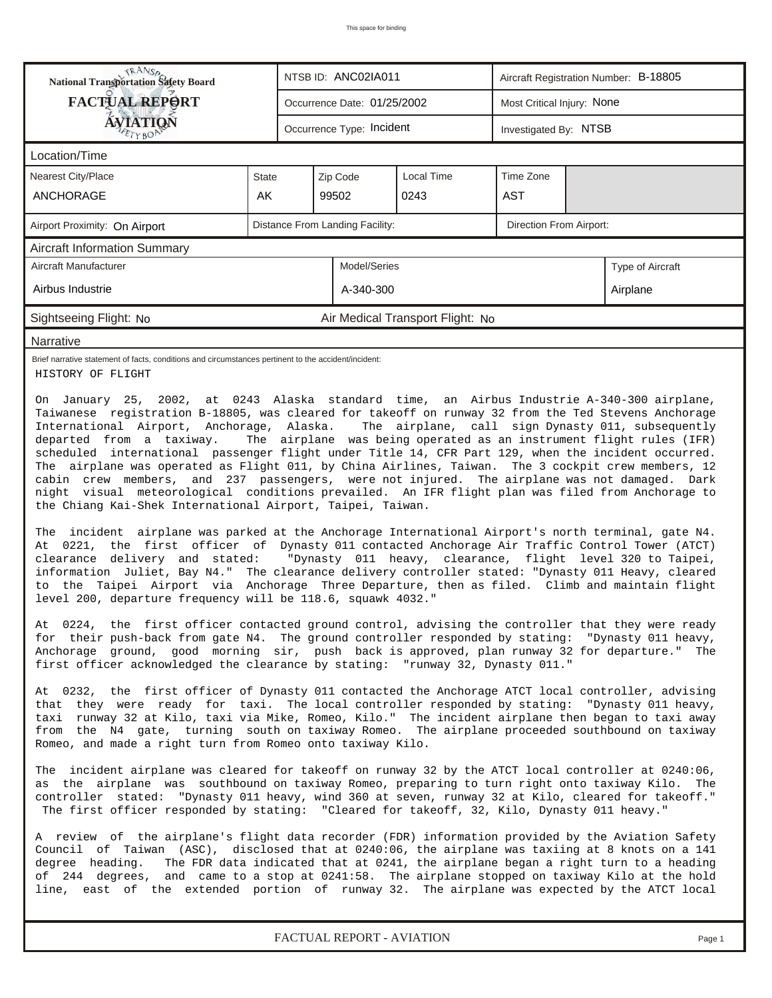| <b>FACTUAL REPORT</b><br>Most Critical Injury: None<br>Occurrence Date: 01/25/2002<br>ÁVIATION<br>Occurrence Type: Incident<br>Investigated By: NTSB<br>ETYBOP<br>Location/Time<br>Local Time<br>Time Zone<br>Nearest City/Place<br>Zip Code<br>State<br>AK<br><b>AST</b><br>ANCHORAGE<br>99502<br>0243<br>Distance From Landing Facility:<br>Direction From Airport:<br>Airport Proximity: On Airport<br><b>Aircraft Information Summary</b><br>Aircraft Manufacturer<br>Model/Series<br>Type of Aircraft<br>Airbus Industrie<br>A-340-300<br>Airplane<br>Sightseeing Flight: No<br>Air Medical Transport Flight: No<br>Narrative<br>Brief narrative statement of facts, conditions and circumstances pertinent to the accident/incident:<br>HISTORY OF FLIGHT<br>On January 25, 2002, at 0243 Alaska standard time, an Airbus Industrie A-340-300 airplane,<br>Taiwanese registration B-18805, was cleared for takeoff on runway 32 from the Ted Stevens Anchorage<br>International Airport, Anchorage, Alaska.<br>The airplane, call sign Dynasty 011, subsequently<br>The airplane was being operated as an instrument flight rules (IFR)<br>departed from a taxiway.<br>scheduled international passenger flight under Title 14, CFR Part 129, when the incident occurred.<br>The airplane was operated as Flight 011, by China Airlines, Taiwan. The 3 cockpit crew members, 12<br>cabin crew members, and 237 passengers, were not injured. The airplane was not damaged. Dark<br>night visual meteorological conditions prevailed. An IFR flight plan was filed from Anchorage to<br>the Chiang Kai-Shek International Airport, Taipei, Taiwan.<br>The incident airplane was parked at the Anchorage International Airport's north terminal, gate N4.<br>At 0221, the first officer of Dynasty 011 contacted Anchorage Air Traffic Control Tower (ATCT)<br>clearance delivery and stated: "Dynasty 011 heavy, clearance, flight level 320 to Taipei,<br>information Juliet, Bay N4." The clearance delivery controller stated: "Dynasty 011 Heavy, cleared<br>to the Taipei Airport via Anchorage Three Departure, then as filed. Climb and maintain flight<br>level 200, departure frequency will be 118.6, squawk 4032."<br>At 0224, the first officer contacted ground control, advising the controller that they were ready<br>for their push-back from gate N4. The ground controller responded by stating: "Dynasty 011 heavy,<br>Anchorage ground, good morning sir, push back is approved, plan runway 32 for departure." The<br>first officer acknowledged the clearance by stating: "runway 32, Dynasty 011."<br>At 0232, the first officer of Dynasty 011 contacted the Anchorage ATCT local controller, advising<br>that they were ready for taxi. The local controller responded by stating: "Dynasty 011 heavy,<br>taxi runway 32 at Kilo, taxi via Mike, Romeo, Kilo." The incident airplane then began to taxi away<br>from the N4 gate, turning south on taxiway Romeo. The airplane proceeded southbound on taxiway<br>Romeo, and made a right turn from Romeo onto taxiway Kilo.<br>The incident airplane was cleared for takeoff on runway 32 by the ATCT local controller at 0240:06,<br>as the airplane was southbound on taxiway Romeo, preparing to turn right onto taxiway Kilo. The<br>controller stated: "Dynasty 011 heavy, wind 360 at seven, runway 32 at Kilo, cleared for takeoff."<br>The first officer responded by stating: "Cleared for takeoff, 32, Kilo, Dynasty 011 heavy." | RANS <sub>P</sub><br>NTSB ID: ANC02IA011<br>Aircraft Registration Number: B-18805                 |  |  |  |  |  |  |  |  |  |  |
|----------------------------------------------------------------------------------------------------------------------------------------------------------------------------------------------------------------------------------------------------------------------------------------------------------------------------------------------------------------------------------------------------------------------------------------------------------------------------------------------------------------------------------------------------------------------------------------------------------------------------------------------------------------------------------------------------------------------------------------------------------------------------------------------------------------------------------------------------------------------------------------------------------------------------------------------------------------------------------------------------------------------------------------------------------------------------------------------------------------------------------------------------------------------------------------------------------------------------------------------------------------------------------------------------------------------------------------------------------------------------------------------------------------------------------------------------------------------------------------------------------------------------------------------------------------------------------------------------------------------------------------------------------------------------------------------------------------------------------------------------------------------------------------------------------------------------------------------------------------------------------------------------------------------------------------------------------------------------------------------------------------------------------------------------------------------------------------------------------------------------------------------------------------------------------------------------------------------------------------------------------------------------------------------------------------------------------------------------------------------------------------------------------------------------------------------------------------------------------------------------------------------------------------------------------------------------------------------------------------------------------------------------------------------------------------------------------------------------------------------------------------------------------------------------------------------------------------------------------------------------------------------------------------------------------------------------------------------------------------------------------------------------------------------------------------------------------------------------------------------------------------------------------------------------------------------------------------------------------------------------------------------------------------------------------------------------------------------------------------------------------------------------------------------------------------------------------------------------------------------------------------------------|---------------------------------------------------------------------------------------------------|--|--|--|--|--|--|--|--|--|--|
|                                                                                                                                                                                                                                                                                                                                                                                                                                                                                                                                                                                                                                                                                                                                                                                                                                                                                                                                                                                                                                                                                                                                                                                                                                                                                                                                                                                                                                                                                                                                                                                                                                                                                                                                                                                                                                                                                                                                                                                                                                                                                                                                                                                                                                                                                                                                                                                                                                                                                                                                                                                                                                                                                                                                                                                                                                                                                                                                                                                                                                                                                                                                                                                                                                                                                                                                                                                                                                                                                                                            |                                                                                                   |  |  |  |  |  |  |  |  |  |  |
|                                                                                                                                                                                                                                                                                                                                                                                                                                                                                                                                                                                                                                                                                                                                                                                                                                                                                                                                                                                                                                                                                                                                                                                                                                                                                                                                                                                                                                                                                                                                                                                                                                                                                                                                                                                                                                                                                                                                                                                                                                                                                                                                                                                                                                                                                                                                                                                                                                                                                                                                                                                                                                                                                                                                                                                                                                                                                                                                                                                                                                                                                                                                                                                                                                                                                                                                                                                                                                                                                                                            |                                                                                                   |  |  |  |  |  |  |  |  |  |  |
|                                                                                                                                                                                                                                                                                                                                                                                                                                                                                                                                                                                                                                                                                                                                                                                                                                                                                                                                                                                                                                                                                                                                                                                                                                                                                                                                                                                                                                                                                                                                                                                                                                                                                                                                                                                                                                                                                                                                                                                                                                                                                                                                                                                                                                                                                                                                                                                                                                                                                                                                                                                                                                                                                                                                                                                                                                                                                                                                                                                                                                                                                                                                                                                                                                                                                                                                                                                                                                                                                                                            |                                                                                                   |  |  |  |  |  |  |  |  |  |  |
|                                                                                                                                                                                                                                                                                                                                                                                                                                                                                                                                                                                                                                                                                                                                                                                                                                                                                                                                                                                                                                                                                                                                                                                                                                                                                                                                                                                                                                                                                                                                                                                                                                                                                                                                                                                                                                                                                                                                                                                                                                                                                                                                                                                                                                                                                                                                                                                                                                                                                                                                                                                                                                                                                                                                                                                                                                                                                                                                                                                                                                                                                                                                                                                                                                                                                                                                                                                                                                                                                                                            |                                                                                                   |  |  |  |  |  |  |  |  |  |  |
|                                                                                                                                                                                                                                                                                                                                                                                                                                                                                                                                                                                                                                                                                                                                                                                                                                                                                                                                                                                                                                                                                                                                                                                                                                                                                                                                                                                                                                                                                                                                                                                                                                                                                                                                                                                                                                                                                                                                                                                                                                                                                                                                                                                                                                                                                                                                                                                                                                                                                                                                                                                                                                                                                                                                                                                                                                                                                                                                                                                                                                                                                                                                                                                                                                                                                                                                                                                                                                                                                                                            |                                                                                                   |  |  |  |  |  |  |  |  |  |  |
|                                                                                                                                                                                                                                                                                                                                                                                                                                                                                                                                                                                                                                                                                                                                                                                                                                                                                                                                                                                                                                                                                                                                                                                                                                                                                                                                                                                                                                                                                                                                                                                                                                                                                                                                                                                                                                                                                                                                                                                                                                                                                                                                                                                                                                                                                                                                                                                                                                                                                                                                                                                                                                                                                                                                                                                                                                                                                                                                                                                                                                                                                                                                                                                                                                                                                                                                                                                                                                                                                                                            |                                                                                                   |  |  |  |  |  |  |  |  |  |  |
|                                                                                                                                                                                                                                                                                                                                                                                                                                                                                                                                                                                                                                                                                                                                                                                                                                                                                                                                                                                                                                                                                                                                                                                                                                                                                                                                                                                                                                                                                                                                                                                                                                                                                                                                                                                                                                                                                                                                                                                                                                                                                                                                                                                                                                                                                                                                                                                                                                                                                                                                                                                                                                                                                                                                                                                                                                                                                                                                                                                                                                                                                                                                                                                                                                                                                                                                                                                                                                                                                                                            |                                                                                                   |  |  |  |  |  |  |  |  |  |  |
|                                                                                                                                                                                                                                                                                                                                                                                                                                                                                                                                                                                                                                                                                                                                                                                                                                                                                                                                                                                                                                                                                                                                                                                                                                                                                                                                                                                                                                                                                                                                                                                                                                                                                                                                                                                                                                                                                                                                                                                                                                                                                                                                                                                                                                                                                                                                                                                                                                                                                                                                                                                                                                                                                                                                                                                                                                                                                                                                                                                                                                                                                                                                                                                                                                                                                                                                                                                                                                                                                                                            |                                                                                                   |  |  |  |  |  |  |  |  |  |  |
|                                                                                                                                                                                                                                                                                                                                                                                                                                                                                                                                                                                                                                                                                                                                                                                                                                                                                                                                                                                                                                                                                                                                                                                                                                                                                                                                                                                                                                                                                                                                                                                                                                                                                                                                                                                                                                                                                                                                                                                                                                                                                                                                                                                                                                                                                                                                                                                                                                                                                                                                                                                                                                                                                                                                                                                                                                                                                                                                                                                                                                                                                                                                                                                                                                                                                                                                                                                                                                                                                                                            |                                                                                                   |  |  |  |  |  |  |  |  |  |  |
|                                                                                                                                                                                                                                                                                                                                                                                                                                                                                                                                                                                                                                                                                                                                                                                                                                                                                                                                                                                                                                                                                                                                                                                                                                                                                                                                                                                                                                                                                                                                                                                                                                                                                                                                                                                                                                                                                                                                                                                                                                                                                                                                                                                                                                                                                                                                                                                                                                                                                                                                                                                                                                                                                                                                                                                                                                                                                                                                                                                                                                                                                                                                                                                                                                                                                                                                                                                                                                                                                                                            |                                                                                                   |  |  |  |  |  |  |  |  |  |  |
|                                                                                                                                                                                                                                                                                                                                                                                                                                                                                                                                                                                                                                                                                                                                                                                                                                                                                                                                                                                                                                                                                                                                                                                                                                                                                                                                                                                                                                                                                                                                                                                                                                                                                                                                                                                                                                                                                                                                                                                                                                                                                                                                                                                                                                                                                                                                                                                                                                                                                                                                                                                                                                                                                                                                                                                                                                                                                                                                                                                                                                                                                                                                                                                                                                                                                                                                                                                                                                                                                                                            |                                                                                                   |  |  |  |  |  |  |  |  |  |  |
|                                                                                                                                                                                                                                                                                                                                                                                                                                                                                                                                                                                                                                                                                                                                                                                                                                                                                                                                                                                                                                                                                                                                                                                                                                                                                                                                                                                                                                                                                                                                                                                                                                                                                                                                                                                                                                                                                                                                                                                                                                                                                                                                                                                                                                                                                                                                                                                                                                                                                                                                                                                                                                                                                                                                                                                                                                                                                                                                                                                                                                                                                                                                                                                                                                                                                                                                                                                                                                                                                                                            |                                                                                                   |  |  |  |  |  |  |  |  |  |  |
| Council of Taiwan (ASC), disclosed that at 0240:06, the airplane was taxiing at 8 knots on a 141<br>degree heading.<br>The FDR data indicated that at 0241, the airplane began a right turn to a heading<br>of 244 degrees, and came to a stop at 0241:58. The airplane stopped on taxiway Kilo at the hold<br>line, east of the extended portion of runway 32. The airplane was expected by the ATCT local                                                                                                                                                                                                                                                                                                                                                                                                                                                                                                                                                                                                                                                                                                                                                                                                                                                                                                                                                                                                                                                                                                                                                                                                                                                                                                                                                                                                                                                                                                                                                                                                                                                                                                                                                                                                                                                                                                                                                                                                                                                                                                                                                                                                                                                                                                                                                                                                                                                                                                                                                                                                                                                                                                                                                                                                                                                                                                                                                                                                                                                                                                                | A review of the airplane's flight data recorder (FDR) information provided by the Aviation Safety |  |  |  |  |  |  |  |  |  |  |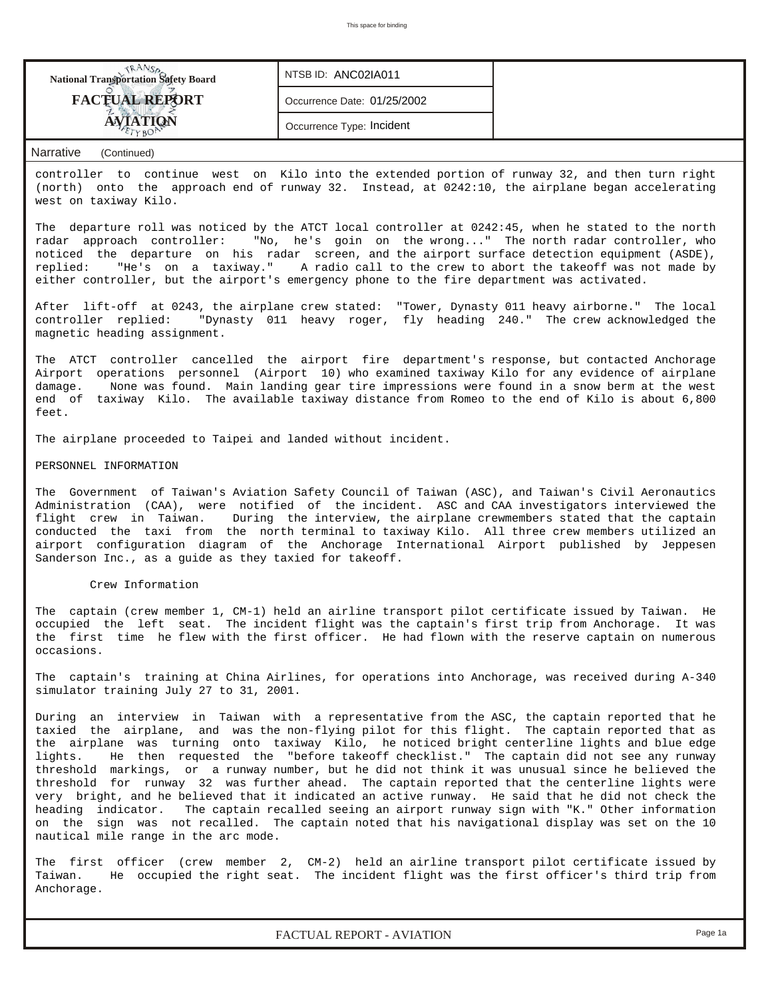| <b>FACTUAL REPORT</b><br>Occurrence Date: 01/25/2002<br>Occurrence Type: Incident | <b>National Transportation Safety Board</b> | NTSB ID: ANC02IA011 |  |
|-----------------------------------------------------------------------------------|---------------------------------------------|---------------------|--|
|                                                                                   |                                             |                     |  |
|                                                                                   |                                             |                     |  |

controller to continue west on Kilo into the extended portion of runway 32, and then turn right (north) onto the approach end of runway 32. Instead, at 0242:10, the airplane began accelerating west on taxiway Kilo.

The departure roll was noticed by the ATCT local controller at 0242:45, when he stated to the north radar approach controller: "No, he's goin on the wrong..." The north radar controller, who noticed the departure on his radar screen, and the airport surface detection equipment (ASDE), replied: "He's on a taxiway." A radio call to the crew to abort the takeoff was not made by either controller, but the airport's emergency phone to the fire department was activated.

After lift-off at 0243, the airplane crew stated: "Tower, Dynasty 011 heavy airborne." The local controller replied: "Dynasty 011 heavy roger, fly heading 240." The crew acknowledged the magnetic heading assignment.

The ATCT controller cancelled the airport fire department's response, but contacted Anchorage Airport operations personnel (Airport 10) who examined taxiway Kilo for any evidence of airplane damage. None was found. Main landing gear tire impressions were found in a snow berm at the west end of taxiway Kilo. The available taxiway distance from Romeo to the end of Kilo is about 6,800 feet.

The airplane proceeded to Taipei and landed without incident.

#### PERSONNEL INFORMATION

The Government of Taiwan's Aviation Safety Council of Taiwan (ASC), and Taiwan's Civil Aeronautics Administration (CAA), were notified of the incident. ASC and CAA investigators interviewed the flight crew in Taiwan. During the interview, the airplane crewmembers stated that the captain conducted the taxi from the north terminal to taxiway Kilo. All three crew members utilized an airport configuration diagram of the Anchorage International Airport published by Jeppesen Sanderson Inc., as a guide as they taxied for takeoff.

#### Crew Information

The captain (crew member 1, CM-1) held an airline transport pilot certificate issued by Taiwan. He occupied the left seat. The incident flight was the captain's first trip from Anchorage. It was the first time he flew with the first officer. He had flown with the reserve captain on numerous occasions.

The captain's training at China Airlines, for operations into Anchorage, was received during A-340 simulator training July 27 to 31, 2001.

During an interview in Taiwan with a representative from the ASC, the captain reported that he taxied the airplane, and was the non-flying pilot for this flight. The captain reported that as the airplane was turning onto taxiway Kilo, he noticed bright centerline lights and blue edge lights. He then requested the "before takeoff checklist." The captain did not see any runway threshold markings, or a runway number, but he did not think it was unusual since he believed the threshold for runway 32 was further ahead. The captain reported that the centerline lights were very bright, and he believed that it indicated an active runway. He said that he did not check the heading indicator. The captain recalled seeing an airport runway sign with "K." Other information on the sign was not recalled. The captain noted that his navigational display was set on the 10 nautical mile range in the arc mode.

The first officer (crew member 2, CM-2) held an airline transport pilot certificate issued by Taiwan. He occupied the right seat. The incident flight was the first officer's third trip from Anchorage.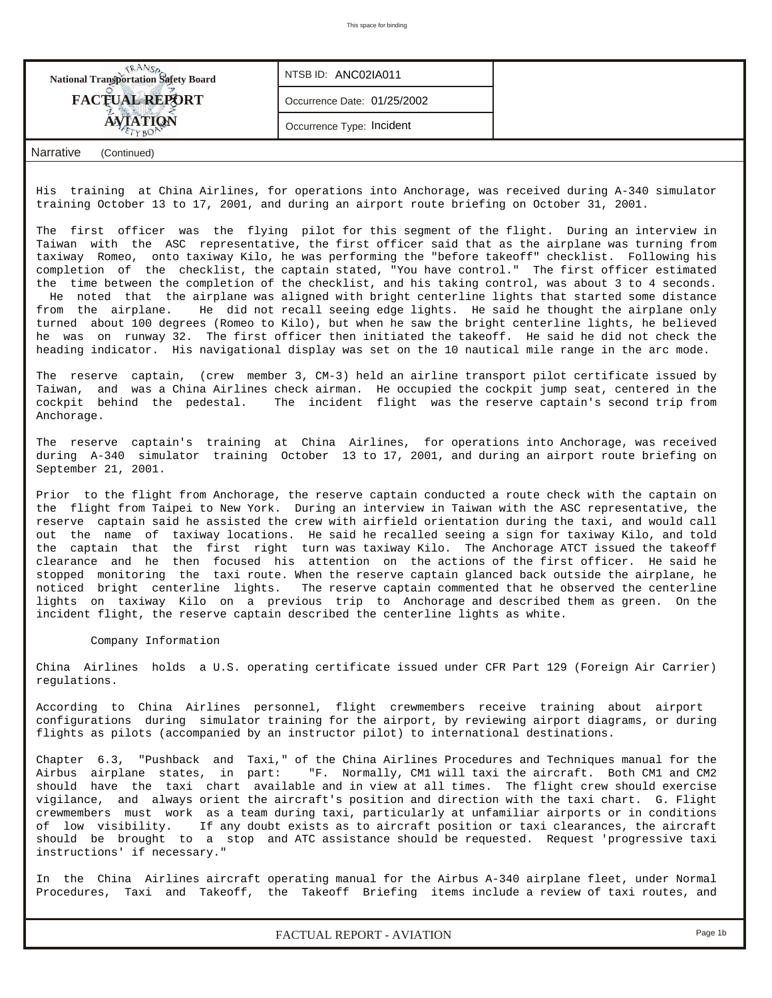| <b>National Transportation Safety Board</b> | NTSB ID: ANC02IA011         |  |
|---------------------------------------------|-----------------------------|--|
| <b>FACTUAL REPORT</b>                       | Occurrence Date: 01/25/2002 |  |
| AVIATION                                    | Occurrence Type: Incident   |  |
| م/Narrativ<br>(Continued)                   |                             |  |

His training at China Airlines, for operations into Anchorage, was received during A-340 simulator training October 13 to 17, 2001, and during an airport route briefing on October 31, 2001.

The first officer was the flying pilot for this segment of the flight. During an interview in Taiwan with the ASC representative, the first officer said that as the airplane was turning from taxiway Romeo, onto taxiway Kilo, he was performing the "before takeoff" checklist. Following his completion of the checklist, the captain stated, "You have control." The first officer estimated the time between the completion of the checklist, and his taking control, was about 3 to 4 seconds. He noted that the airplane was aligned with bright centerline lights that started some distance from the airplane. He did not recall seeing edge lights. He said he thought the airplane only turned about 100 degrees (Romeo to Kilo), but when he saw the bright centerline lights, he believed he was on runway 32. The first officer then initiated the takeoff. He said he did not check the heading indicator. His navigational display was set on the 10 nautical mile range in the arc mode.

The reserve captain, (crew member 3, CM-3) held an airline transport pilot certificate issued by Taiwan, and was a China Airlines check airman. He occupied the cockpit jump seat, centered in the cockpit behind the pedestal. The incident flight was the reserve captain's second trip from Anchorage.

The reserve captain's training at China Airlines, for operations into Anchorage, was received during A-340 simulator training October 13 to 17, 2001, and during an airport route briefing on September 21, 2001.

Prior to the flight from Anchorage, the reserve captain conducted a route check with the captain on the flight from Taipei to New York. During an interview in Taiwan with the ASC representative, the reserve captain said he assisted the crew with airfield orientation during the taxi, and would call out the name of taxiway locations. He said he recalled seeing a sign for taxiway Kilo, and told the captain that the first right turn was taxiway Kilo. The Anchorage ATCT issued the takeoff clearance and he then focused his attention on the actions of the first officer. He said he stopped monitoring the taxi route. When the reserve captain glanced back outside the airplane, he noticed bright centerline lights. The reserve captain commented that he observed the centerline lights on taxiway Kilo on a previous trip to Anchorage and described them as green. On the incident flight, the reserve captain described the centerline lights as white.

#### Company Information

China Airlines holds a U.S. operating certificate issued under CFR Part 129 (Foreign Air Carrier) regulations.

According to China Airlines personnel, flight crewmembers receive training about airport configurations during simulator training for the airport, by reviewing airport diagrams, or during flights as pilots (accompanied by an instructor pilot) to international destinations.

Chapter 6.3, "Pushback and Taxi," of the China Airlines Procedures and Techniques manual for the Airbus airplane states, in part: "F. Normally, CM1 will taxi the aircraft. Both CM1 and CM2 should have the taxi chart available and in view at all times. The flight crew should exercise vigilance, and always orient the aircraft's position and direction with the taxi chart. G. Flight crewmembers must work as a team during taxi, particularly at unfamiliar airports or in conditions of low visibility. If any doubt exists as to aircraft position or taxi clearances, the aircraft should be brought to a stop and ATC assistance should be requested. Request 'progressive taxi instructions' if necessary."

In the China Airlines aircraft operating manual for the Airbus A-340 airplane fleet, under Normal Procedures, Taxi and Takeoff, the Takeoff Briefing items include a review of taxi routes, and

*FACTUAL REPORT - AVIATION Page 1b*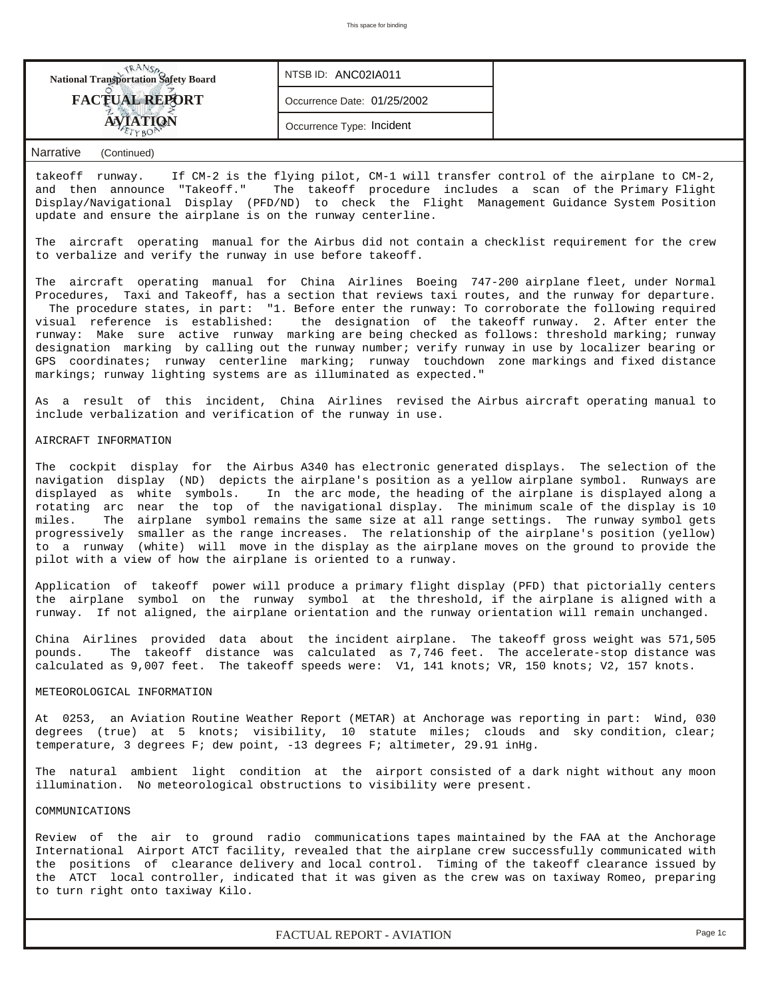| <b>National Transportation Safety Board</b> | NTSB ID: ANC02IA011         |  |
|---------------------------------------------|-----------------------------|--|
| <b>FACTUAL REPORT</b>                       | Occurrence Date: 01/25/2002 |  |
|                                             | Occurrence Type: Incident   |  |

takeoff runway. If CM-2 is the flying pilot, CM-1 will transfer control of the airplane to CM-2, and then announce "Takeoff." The takeoff procedure includes a scan of the Primary Flight Display/Navigational Display (PFD/ND) to check the Flight Management Guidance System Position update and ensure the airplane is on the runway centerline.

The aircraft operating manual for the Airbus did not contain a checklist requirement for the crew to verbalize and verify the runway in use before takeoff.

The aircraft operating manual for China Airlines Boeing 747-200 airplane fleet, under Normal Procedures, Taxi and Takeoff, has a section that reviews taxi routes, and the runway for departure. The procedure states, in part: "1. Before enter the runway: To corroborate the following required<br>visual reference is established: the designation of the takeoff runway. 2. After enter the the designation of the takeoff runway. 2. After enter the runway: Make sure active runway marking are being checked as follows: threshold marking; runway designation marking by calling out the runway number; verify runway in use by localizer bearing or GPS coordinates; runway centerline marking; runway touchdown zone markings and fixed distance markings; runway lighting systems are as illuminated as expected."

As a result of this incident, China Airlines revised the Airbus aircraft operating manual to include verbalization and verification of the runway in use.

## AIRCRAFT INFORMATION

The cockpit display for the Airbus A340 has electronic generated displays. The selection of the navigation display (ND) depicts the airplane's position as a yellow airplane symbol. Runways are displayed as white symbols. In the arc mode, the heading of the airplane is displayed along a rotating arc near the top of the navigational display. The minimum scale of the display is 10 miles. The airplane symbol remains the same size at all range settings. The runway symbol gets progressively smaller as the range increases. The relationship of the airplane's position (yellow) to a runway (white) will move in the display as the airplane moves on the ground to provide the pilot with a view of how the airplane is oriented to a runway.

Application of takeoff power will produce a primary flight display (PFD) that pictorially centers the airplane symbol on the runway symbol at the threshold, if the airplane is aligned with a runway. If not aligned, the airplane orientation and the runway orientation will remain unchanged.

China Airlines provided data about the incident airplane. The takeoff gross weight was 571,505 pounds. The takeoff distance was calculated as 7,746 feet. The accelerate-stop distance was calculated as 9,007 feet. The takeoff speeds were: V1, 141 knots; VR, 150 knots; V2, 157 knots.

#### METEOROLOGICAL INFORMATION

At 0253, an Aviation Routine Weather Report (METAR) at Anchorage was reporting in part: Wind, 030 degrees (true) at 5 knots; visibility, 10 statute miles; clouds and sky condition, clear; temperature, 3 degrees F; dew point, -13 degrees F; altimeter, 29.91 inHg.

The natural ambient light condition at the airport consisted of a dark night without any moon illumination. No meteorological obstructions to visibility were present.

## COMMUNICATIONS

Review of the air to ground radio communications tapes maintained by the FAA at the Anchorage International Airport ATCT facility, revealed that the airplane crew successfully communicated with the positions of clearance delivery and local control. Timing of the takeoff clearance issued by the ATCT local controller, indicated that it was given as the crew was on taxiway Romeo, preparing to turn right onto taxiway Kilo.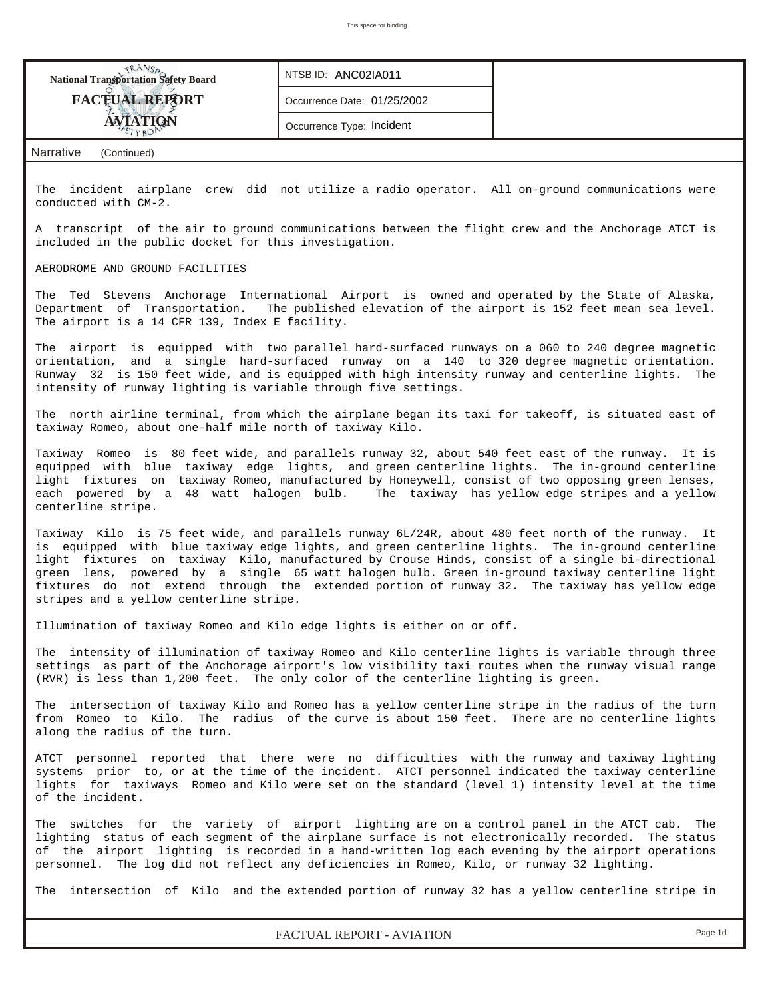| <b>National Transportation Safety Board</b>                                                                                                                                                                                                                                                                                                                                                                              | NTSB ID: ANC02IA011                                                                                                                                                                                                                                                                                                                                                                                                                                                                                          |  |  |  |  |  |  |  |  |  |  |  |
|--------------------------------------------------------------------------------------------------------------------------------------------------------------------------------------------------------------------------------------------------------------------------------------------------------------------------------------------------------------------------------------------------------------------------|--------------------------------------------------------------------------------------------------------------------------------------------------------------------------------------------------------------------------------------------------------------------------------------------------------------------------------------------------------------------------------------------------------------------------------------------------------------------------------------------------------------|--|--|--|--|--|--|--|--|--|--|--|
| <b>FACTUAL REPORT</b>                                                                                                                                                                                                                                                                                                                                                                                                    | Occurrence Date: 01/25/2002                                                                                                                                                                                                                                                                                                                                                                                                                                                                                  |  |  |  |  |  |  |  |  |  |  |  |
| AVIATION                                                                                                                                                                                                                                                                                                                                                                                                                 | Occurrence Type: Incident                                                                                                                                                                                                                                                                                                                                                                                                                                                                                    |  |  |  |  |  |  |  |  |  |  |  |
| Narrative<br>(Continued)                                                                                                                                                                                                                                                                                                                                                                                                 |                                                                                                                                                                                                                                                                                                                                                                                                                                                                                                              |  |  |  |  |  |  |  |  |  |  |  |
| The incident airplane crew did not utilize a radio operator. All on-ground communications were<br>conducted with CM-2.                                                                                                                                                                                                                                                                                                   |                                                                                                                                                                                                                                                                                                                                                                                                                                                                                                              |  |  |  |  |  |  |  |  |  |  |  |
| A transcript of the air to ground communications between the flight crew and the Anchorage ATCT is<br>included in the public docket for this investigation.                                                                                                                                                                                                                                                              |                                                                                                                                                                                                                                                                                                                                                                                                                                                                                                              |  |  |  |  |  |  |  |  |  |  |  |
| AERODROME AND GROUND FACILITIES                                                                                                                                                                                                                                                                                                                                                                                          |                                                                                                                                                                                                                                                                                                                                                                                                                                                                                                              |  |  |  |  |  |  |  |  |  |  |  |
| The Ted Stevens Anchorage International Airport is owned and operated by the State of Alaska,<br>Department of Transportation. The published elevation of the airport is 152 feet mean sea level.<br>The airport is a 14 CFR 139, Index E facility.                                                                                                                                                                      |                                                                                                                                                                                                                                                                                                                                                                                                                                                                                                              |  |  |  |  |  |  |  |  |  |  |  |
| The airport is equipped with two parallel hard-surfaced runways on a 060 to 240 degree magnetic<br>orientation, and a single hard-surfaced runway on a 140 to 320 degree magnetic orientation.<br>Runway 32 is 150 feet wide, and is equipped with high intensity runway and centerline lights. The<br>intensity of runway lighting is variable through five settings.                                                   |                                                                                                                                                                                                                                                                                                                                                                                                                                                                                                              |  |  |  |  |  |  |  |  |  |  |  |
|                                                                                                                                                                                                                                                                                                                                                                                                                          | The north airline terminal, from which the airplane began its taxi for takeoff, is situated east of<br>taxiway Romeo, about one-half mile north of taxiway Kilo.                                                                                                                                                                                                                                                                                                                                             |  |  |  |  |  |  |  |  |  |  |  |
| Taxiway Romeo is 80 feet wide, and parallels runway 32, about 540 feet east of the runway. It is<br>equipped with blue taxiway edge lights, and green centerline lights. The in-ground centerline<br>light fixtures on taxiway Romeo, manufactured by Honeywell, consist of two opposing green lenses,<br>each powered by a 48 watt halogen bulb. The taxiway has yellow edge stripes and a yellow<br>centerline stripe. |                                                                                                                                                                                                                                                                                                                                                                                                                                                                                                              |  |  |  |  |  |  |  |  |  |  |  |
| stripes and a yellow centerline stripe.                                                                                                                                                                                                                                                                                                                                                                                  | Taxiway Kilo is 75 feet wide, and parallels runway 6L/24R, about 480 feet north of the runway. It<br>is equipped with blue taxiway edge lights, and green centerline lights. The in-ground centerline<br>light fixtures on taxiway Kilo, manufactured by Crouse Hinds, consist of a single bi-directional<br>green lens, powered by a single 65 watt halogen bulb. Green in-ground taxiway centerline light<br>fixtures do not extend through the extended portion of runway 32. The taxiway has yellow edge |  |  |  |  |  |  |  |  |  |  |  |
| Illumination of taxiway Romeo and Kilo edge lights is either on or off.                                                                                                                                                                                                                                                                                                                                                  |                                                                                                                                                                                                                                                                                                                                                                                                                                                                                                              |  |  |  |  |  |  |  |  |  |  |  |
| The intensity of illumination of taxiway Romeo and Kilo centerline lights is variable through three<br>settings as part of the Anchorage airport's low visibility taxi routes when the runway visual range<br>(RVR) is less than 1,200 feet. The only color of the centerline lighting is green.                                                                                                                         |                                                                                                                                                                                                                                                                                                                                                                                                                                                                                                              |  |  |  |  |  |  |  |  |  |  |  |
| The intersection of taxiway Kilo and Romeo has a yellow centerline stripe in the radius of the turn<br>from Romeo to Kilo. The radius of the curve is about 150 feet. There are no centerline lights<br>along the radius of the turn.                                                                                                                                                                                    |                                                                                                                                                                                                                                                                                                                                                                                                                                                                                                              |  |  |  |  |  |  |  |  |  |  |  |
| ATCT personnel reported that there were no difficulties with the runway and taxiway lighting<br>systems prior to, or at the time of the incident. ATCT personnel indicated the taxiway centerline<br>lights for taxiways Romeo and Kilo were set on the standard (level 1) intensity level at the time<br>of the incident.                                                                                               |                                                                                                                                                                                                                                                                                                                                                                                                                                                                                                              |  |  |  |  |  |  |  |  |  |  |  |
| The switches for the variety of airport lighting are on a control panel in the ATCT cab. The<br>lighting status of each segment of the airplane surface is not electronically recorded. The status<br>of the airport lighting is recorded in a hand-written log each evening by the airport operations<br>personnel. The log did not reflect any deficiencies in Romeo, Kilo, or runway 32 lighting.                     |                                                                                                                                                                                                                                                                                                                                                                                                                                                                                                              |  |  |  |  |  |  |  |  |  |  |  |
| The intersection of Kilo and the extended portion of runway 32 has a yellow centerline stripe in                                                                                                                                                                                                                                                                                                                         |                                                                                                                                                                                                                                                                                                                                                                                                                                                                                                              |  |  |  |  |  |  |  |  |  |  |  |

*FACTUAL REPORT - AVIATION Page 1d*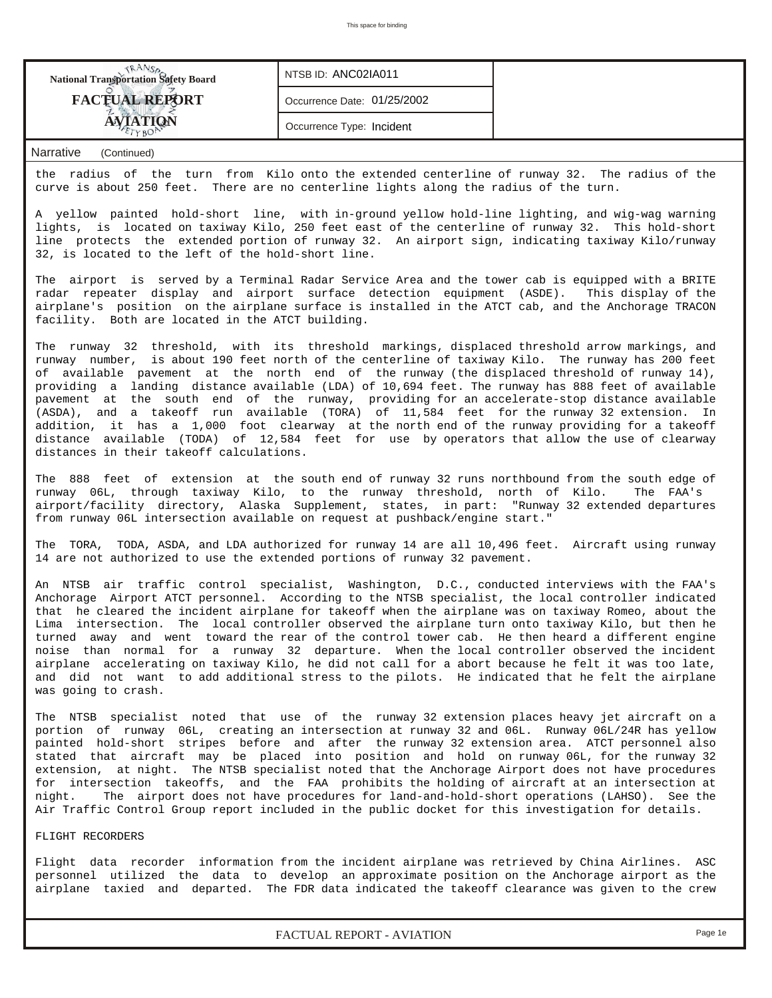| <b>National Transportation Safety Board</b> | NTSB ID: ANC02IA011         |  |
|---------------------------------------------|-----------------------------|--|
| <b>FACTUAL REPORT</b>                       | Occurrence Date: 01/25/2002 |  |
|                                             | Occurrence Type: Incident   |  |

the radius of the turn from Kilo onto the extended centerline of runway 32. The radius of the curve is about 250 feet. There are no centerline lights along the radius of the turn.

A yellow painted hold-short line, with in-ground yellow hold-line lighting, and wig-wag warning lights, is located on taxiway Kilo, 250 feet east of the centerline of runway 32. This hold-short line protects the extended portion of runway 32. An airport sign, indicating taxiway Kilo/runway 32, is located to the left of the hold-short line.

The airport is served by a Terminal Radar Service Area and the tower cab is equipped with a BRITE radar repeater display and airport surface detection equipment (ASDE). This display of the airplane's position on the airplane surface is installed in the ATCT cab, and the Anchorage TRACON facility. Both are located in the ATCT building.

The runway 32 threshold, with its threshold markings, displaced threshold arrow markings, and runway number, is about 190 feet north of the centerline of taxiway Kilo. The runway has 200 feet of available pavement at the north end of the runway (the displaced threshold of runway 14), providing a landing distance available (LDA) of 10,694 feet. The runway has 888 feet of available pavement at the south end of the runway, providing for an accelerate-stop distance available (ASDA), and a takeoff run available (TORA) of 11,584 feet for the runway 32 extension. In addition, it has a 1,000 foot clearway at the north end of the runway providing for a takeoff distance available (TODA) of 12,584 feet for use by operators that allow the use of clearway distances in their takeoff calculations.

The 888 feet of extension at the south end of runway 32 runs northbound from the south edge of runway 06L, through taxiway Kilo, to the runway threshold, north of Kilo. The FAA's airport/facility directory, Alaska Supplement, states, in part: "Runway 32 extended departures from runway 06L intersection available on request at pushback/engine start."

The TORA, TODA, ASDA, and LDA authorized for runway 14 are all 10,496 feet. Aircraft using runway 14 are not authorized to use the extended portions of runway 32 pavement.

An NTSB air traffic control specialist, Washington, D.C., conducted interviews with the FAA's Anchorage Airport ATCT personnel. According to the NTSB specialist, the local controller indicated that he cleared the incident airplane for takeoff when the airplane was on taxiway Romeo, about the Lima intersection. The local controller observed the airplane turn onto taxiway Kilo, but then he turned away and went toward the rear of the control tower cab. He then heard a different engine noise than normal for a runway 32 departure. When the local controller observed the incident airplane accelerating on taxiway Kilo, he did not call for a abort because he felt it was too late, and did not want to add additional stress to the pilots. He indicated that he felt the airplane was going to crash.

The NTSB specialist noted that use of the runway 32 extension places heavy jet aircraft on a portion of runway 06L, creating an intersection at runway 32 and 06L. Runway 06L/24R has yellow painted hold-short stripes before and after the runway 32 extension area. ATCT personnel also stated that aircraft may be placed into position and hold on runway 06L, for the runway 32 extension, at night. The NTSB specialist noted that the Anchorage Airport does not have procedures for intersection takeoffs, and the FAA prohibits the holding of aircraft at an intersection at night. The airport does not have procedures for land-and-hold-short operations (LAHSO). See the Air Traffic Control Group report included in the public docket for this investigation for details.

### FLIGHT RECORDERS

Flight data recorder information from the incident airplane was retrieved by China Airlines. ASC personnel utilized the data to develop an approximate position on the Anchorage airport as the airplane taxied and departed. The FDR data indicated the takeoff clearance was given to the crew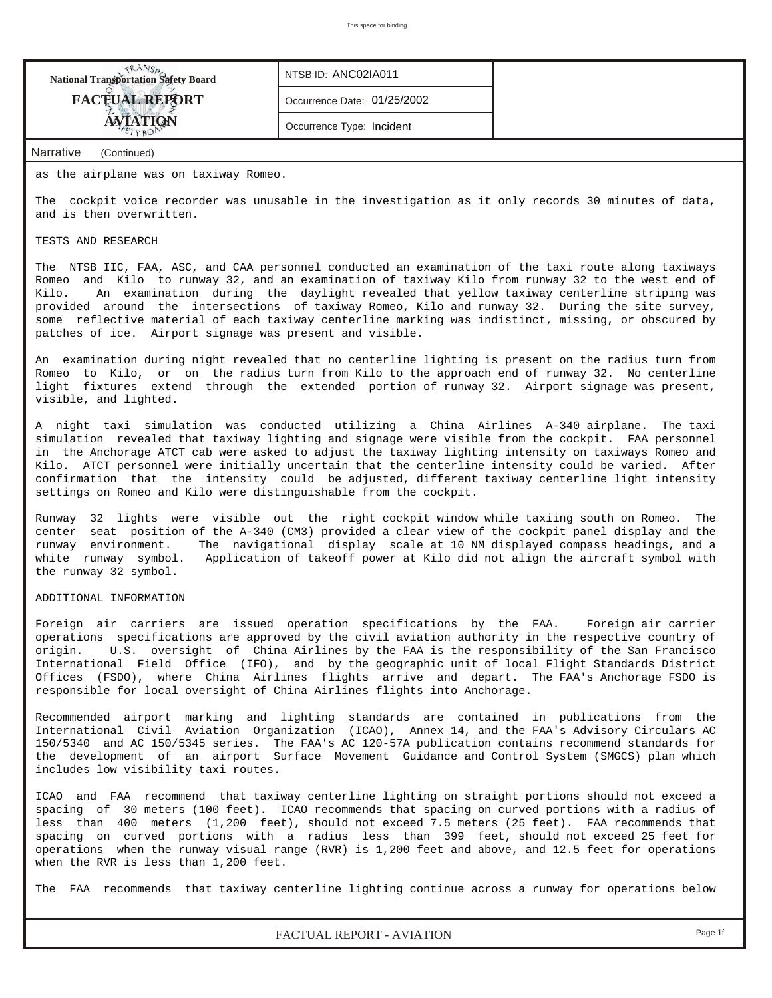| <b>National Transportation Safety Board</b> | NTSB ID: ANC02IA011         |
|---------------------------------------------|-----------------------------|
| <b>FACTUAL REPORT</b>                       | Occurrence Date: 01/25/2002 |
| <b>AVIATION</b>                             | Occurrence Type: Incident   |
| Narrative<br>(Continued)                    |                             |

as the airplane was on taxiway Romeo.

The cockpit voice recorder was unusable in the investigation as it only records 30 minutes of data, and is then overwritten.

## TESTS AND RESEARCH

The NTSB IIC, FAA, ASC, and CAA personnel conducted an examination of the taxi route along taxiways Romeo and Kilo to runway 32, and an examination of taxiway Kilo from runway 32 to the west end of Kilo. An examination during the daylight revealed that yellow taxiway centerline striping was provided around the intersections of taxiway Romeo, Kilo and runway 32. During the site survey, some reflective material of each taxiway centerline marking was indistinct, missing, or obscured by patches of ice. Airport signage was present and visible.

An examination during night revealed that no centerline lighting is present on the radius turn from Romeo to Kilo, or on the radius turn from Kilo to the approach end of runway 32. No centerline light fixtures extend through the extended portion of runway 32. Airport signage was present, visible, and lighted.

A night taxi simulation was conducted utilizing a China Airlines A-340 airplane. The taxi simulation revealed that taxiway lighting and signage were visible from the cockpit. FAA personnel in the Anchorage ATCT cab were asked to adjust the taxiway lighting intensity on taxiways Romeo and Kilo. ATCT personnel were initially uncertain that the centerline intensity could be varied. After confirmation that the intensity could be adjusted, different taxiway centerline light intensity settings on Romeo and Kilo were distinguishable from the cockpit.

Runway 32 lights were visible out the right cockpit window while taxiing south on Romeo. The center seat position of the A-340 (CM3) provided a clear view of the cockpit panel display and the runway environment. The navigational display scale at 10 NM displayed compass headings, and a white runway symbol. Application of takeoff power at Kilo did not align the aircraft symbol with the runway 32 symbol.

#### ADDITIONAL INFORMATION

Foreign air carriers are issued operation specifications by the FAA. Foreign air carrier operations specifications are approved by the civil aviation authority in the respective country of origin. U.S. oversight of China Airlines by the FAA is the responsibility of the San Francisco International Field Office (IFO), and by the geographic unit of local Flight Standards District Offices (FSDO), where China Airlines flights arrive and depart. The FAA's Anchorage FSDO is responsible for local oversight of China Airlines flights into Anchorage.

Recommended airport marking and lighting standards are contained in publications from the International Civil Aviation Organization (ICAO), Annex 14, and the FAA's Advisory Circulars AC 150/5340 and AC 150/5345 series. The FAA's AC 120-57A publication contains recommend standards for the development of an airport Surface Movement Guidance and Control System (SMGCS) plan which includes low visibility taxi routes.

ICAO and FAA recommend that taxiway centerline lighting on straight portions should not exceed a spacing of 30 meters (100 feet). ICAO recommends that spacing on curved portions with a radius of less than 400 meters (1,200 feet), should not exceed 7.5 meters (25 feet). FAA recommends that spacing on curved portions with a radius less than 399 feet, should not exceed 25 feet for operations when the runway visual range (RVR) is 1,200 feet and above, and 12.5 feet for operations when the RVR is less than 1,200 feet.

The FAA recommends that taxiway centerline lighting continue across a runway for operations below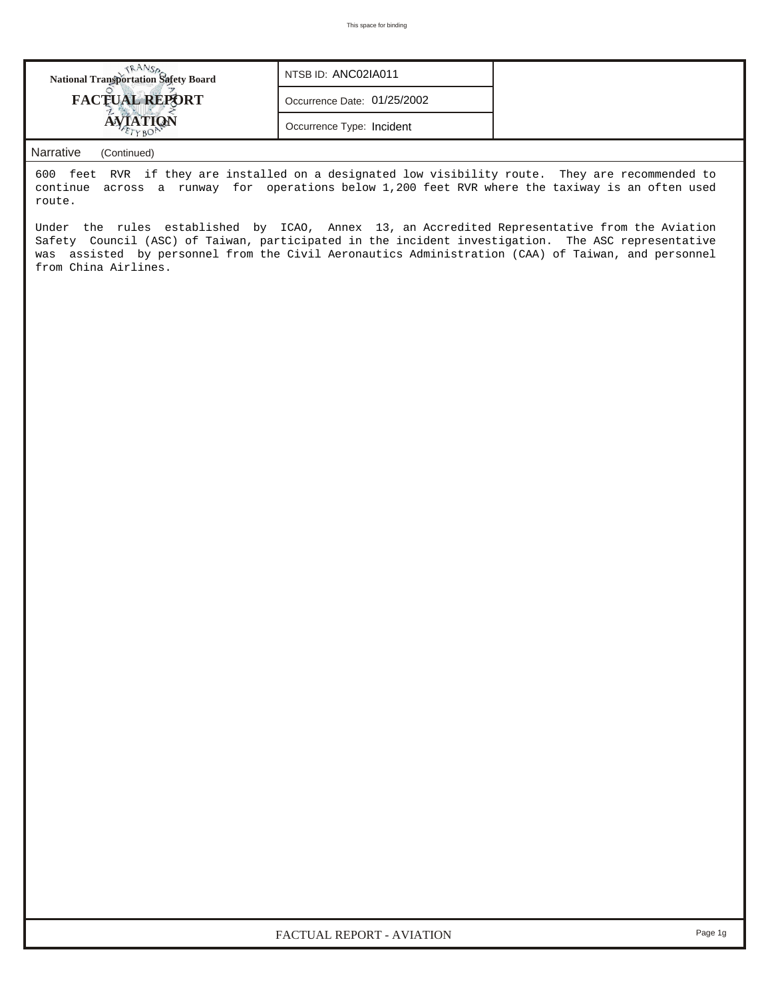| <b>National Transportation Safety Board</b> | NTSB ID: ANC02IA011         |  |
|---------------------------------------------|-----------------------------|--|
| <b>FACTUAL REPORT</b>                       | Occurrence Date: 01/25/2002 |  |
|                                             | Occurrence Type: Incident   |  |
|                                             |                             |  |

600 feet RVR if they are installed on a designated low visibility route. They are recommended to continue across a runway for operations below 1,200 feet RVR where the taxiway is an often used route.

Under the rules established by ICAO, Annex 13, an Accredited Representative from the Aviation Safety Council (ASC) of Taiwan, participated in the incident investigation. The ASC representative was assisted by personnel from the Civil Aeronautics Administration (CAA) of Taiwan, and personnel from China Airlines.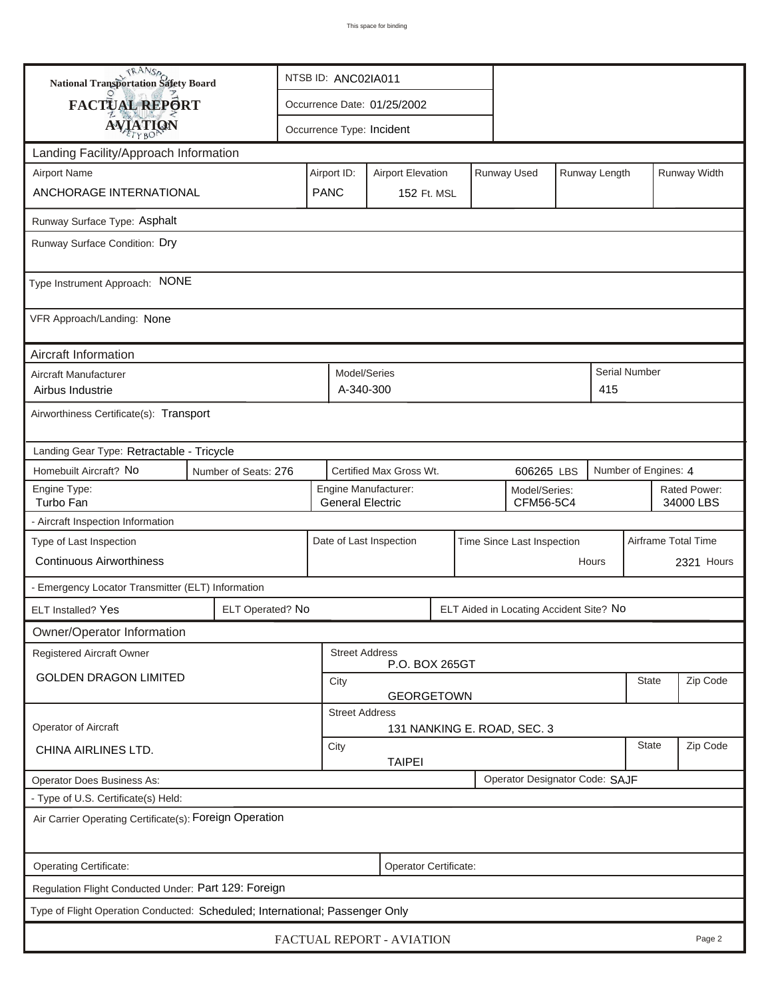| <b>National Transportation Safety Board</b><br>NTSB ID: ANC02IA011                                              |                       |                         |                             |                           |  |                            |                                         |  |                           |                      |                     |
|-----------------------------------------------------------------------------------------------------------------|-----------------------|-------------------------|-----------------------------|---------------------------|--|----------------------------|-----------------------------------------|--|---------------------------|----------------------|---------------------|
| <b>FACTUAL REPORT</b>                                                                                           |                       |                         | Occurrence Date: 01/25/2002 |                           |  |                            |                                         |  |                           |                      |                     |
| <b>AVIATION</b>                                                                                                 |                       |                         | Occurrence Type: Incident   |                           |  |                            |                                         |  |                           |                      |                     |
| Landing Facility/Approach Information                                                                           |                       |                         |                             |                           |  |                            |                                         |  |                           |                      |                     |
| <b>Airport Name</b>                                                                                             |                       |                         | Airport ID:                 | <b>Airport Elevation</b>  |  |                            | Runway Used                             |  | Runway Length             |                      | Runway Width        |
| ANCHORAGE INTERNATIONAL                                                                                         |                       | <b>PANC</b>             |                             | <b>152 Ft. MSL</b>        |  |                            |                                         |  |                           |                      |                     |
| Runway Surface Type: Asphalt                                                                                    |                       |                         |                             |                           |  |                            |                                         |  |                           |                      |                     |
| Runway Surface Condition: Dry                                                                                   |                       |                         |                             |                           |  |                            |                                         |  |                           |                      |                     |
| Type Instrument Approach: NONE                                                                                  |                       |                         |                             |                           |  |                            |                                         |  |                           |                      |                     |
| VFR Approach/Landing: None                                                                                      |                       |                         |                             |                           |  |                            |                                         |  |                           |                      |                     |
| Aircraft Information                                                                                            |                       |                         |                             |                           |  |                            |                                         |  |                           |                      |                     |
| Aircraft Manufacturer<br>Airbus Industrie                                                                       |                       |                         | Model/Series<br>A-340-300   |                           |  |                            |                                         |  | 415                       | <b>Serial Number</b> |                     |
| Airworthiness Certificate(s): Transport                                                                         |                       |                         |                             |                           |  |                            |                                         |  |                           |                      |                     |
| Landing Gear Type: Retractable - Tricycle                                                                       |                       |                         |                             |                           |  |                            |                                         |  |                           |                      |                     |
| Homebuilt Aircraft? No<br>Certified Max Gross Wt.<br>Number of Engines: 4<br>Number of Seats: 276<br>606265 LBS |                       |                         |                             |                           |  |                            |                                         |  |                           |                      |                     |
| Engine Type:<br>Turbo Fan                                                                                       |                       | <b>General Electric</b> | Engine Manufacturer:        |                           |  | Model/Series:<br>CFM56-5C4 |                                         |  | Rated Power:<br>34000 LBS |                      |                     |
| - Aircraft Inspection Information                                                                               |                       |                         |                             |                           |  |                            |                                         |  |                           |                      |                     |
| Type of Last Inspection                                                                                         |                       |                         |                             | Date of Last Inspection   |  |                            | Time Since Last Inspection              |  |                           |                      | Airframe Total Time |
| <b>Continuous Airworthiness</b>                                                                                 |                       |                         |                             |                           |  |                            |                                         |  | Hours                     |                      | 2321 Hours          |
| - Emergency Locator Transmitter (ELT) Information                                                               |                       |                         |                             |                           |  |                            |                                         |  |                           |                      |                     |
| ELT Installed? Yes                                                                                              | ELT Operated? No      |                         |                             |                           |  |                            | ELT Aided in Locating Accident Site? No |  |                           |                      |                     |
| Owner/Operator Information                                                                                      |                       |                         |                             |                           |  |                            |                                         |  |                           |                      |                     |
| Registered Aircraft Owner                                                                                       |                       |                         | <b>Street Address</b>       | P.O. BOX 265GT            |  |                            |                                         |  |                           |                      |                     |
| <b>GOLDEN DRAGON LIMITED</b>                                                                                    |                       |                         | City<br><b>GEORGETOWN</b>   |                           |  |                            |                                         |  | <b>State</b>              | Zip Code             |                     |
|                                                                                                                 |                       |                         | <b>Street Address</b>       |                           |  |                            |                                         |  |                           |                      |                     |
| Operator of Aircraft                                                                                            |                       |                         |                             |                           |  |                            | 131 NANKING E. ROAD, SEC. 3             |  |                           |                      |                     |
| CHINA AIRLINES LTD.                                                                                             | City<br><b>TAIPEI</b> |                         |                             |                           |  | <b>State</b>               | Zip Code                                |  |                           |                      |                     |
| Operator Designator Code: SAJF<br>Operator Does Business As:                                                    |                       |                         |                             |                           |  |                            |                                         |  |                           |                      |                     |
| - Type of U.S. Certificate(s) Held:                                                                             |                       |                         |                             |                           |  |                            |                                         |  |                           |                      |                     |
| Air Carrier Operating Certificate(s): Foreign Operation                                                         |                       |                         |                             |                           |  |                            |                                         |  |                           |                      |                     |
| Operating Certificate:                                                                                          |                       |                         |                             | Operator Certificate:     |  |                            |                                         |  |                           |                      |                     |
| Regulation Flight Conducted Under: Part 129: Foreign                                                            |                       |                         |                             |                           |  |                            |                                         |  |                           |                      |                     |
| Type of Flight Operation Conducted: Scheduled; International; Passenger Only                                    |                       |                         |                             |                           |  |                            |                                         |  |                           |                      |                     |
|                                                                                                                 |                       |                         |                             | FACTUAL REPORT - AVIATION |  |                            |                                         |  |                           |                      | Page 2              |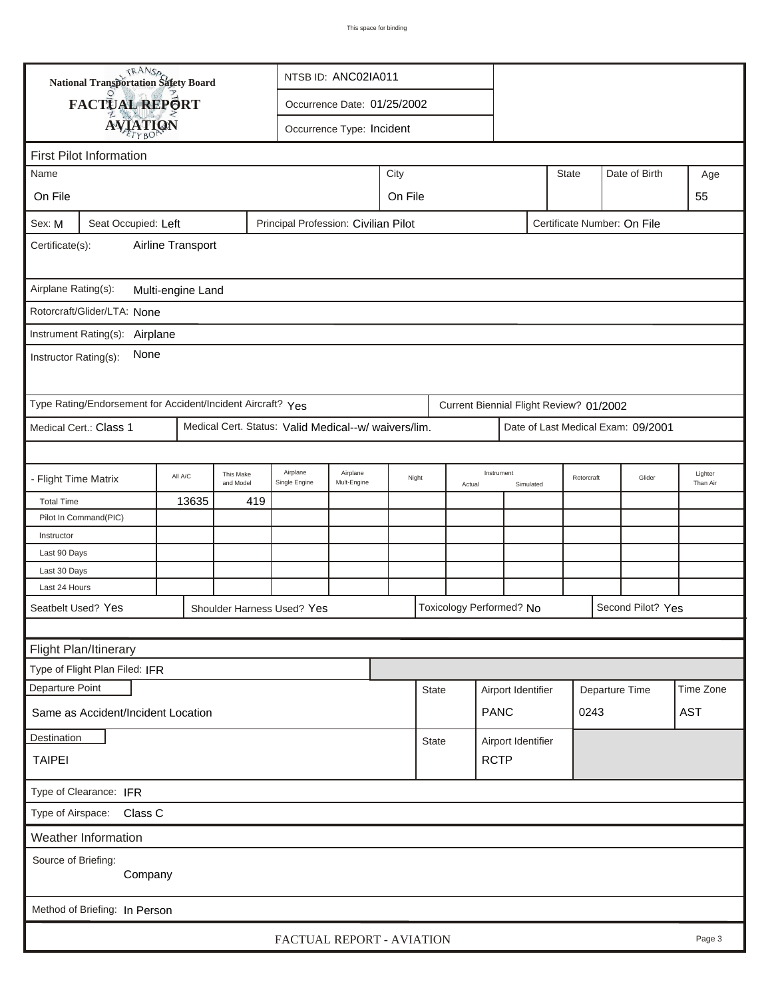|                                                                                                                      | <b>National Transportation Safety Board</b>                                                                                     |  |  |                            | NTSB ID: ANC02IA011       |  |              |                      |                          |           |            |                   |        |                     |
|----------------------------------------------------------------------------------------------------------------------|---------------------------------------------------------------------------------------------------------------------------------|--|--|----------------------------|---------------------------|--|--------------|----------------------|--------------------------|-----------|------------|-------------------|--------|---------------------|
|                                                                                                                      | FACTUAL REPORT<br>Occurrence Date: 01/25/2002                                                                                   |  |  |                            |                           |  |              |                      |                          |           |            |                   |        |                     |
|                                                                                                                      |                                                                                                                                 |  |  |                            |                           |  |              |                      |                          |           |            |                   |        |                     |
| <b>AVIATION</b><br>Occurrence Type: Incident                                                                         |                                                                                                                                 |  |  |                            |                           |  |              |                      |                          |           |            |                   |        |                     |
|                                                                                                                      | <b>First Pilot Information</b>                                                                                                  |  |  |                            |                           |  |              |                      |                          |           |            |                   |        |                     |
| City<br><b>State</b><br>Date of Birth<br>Name<br>Age                                                                 |                                                                                                                                 |  |  |                            |                           |  |              |                      |                          |           |            |                   |        |                     |
| On File<br>On File<br>55                                                                                             |                                                                                                                                 |  |  |                            |                           |  |              |                      |                          |           |            |                   |        |                     |
| Seat Occupied: Left<br>Principal Profession: Civilian Pilot<br>Certificate Number: On File<br>Sex: M                 |                                                                                                                                 |  |  |                            |                           |  |              |                      |                          |           |            |                   |        |                     |
| Airline Transport<br>Certificate(s):                                                                                 |                                                                                                                                 |  |  |                            |                           |  |              |                      |                          |           |            |                   |        |                     |
| Airplane Rating(s):<br>Multi-engine Land                                                                             |                                                                                                                                 |  |  |                            |                           |  |              |                      |                          |           |            |                   |        |                     |
| Rotorcraft/Glider/LTA: None                                                                                          |                                                                                                                                 |  |  |                            |                           |  |              |                      |                          |           |            |                   |        |                     |
|                                                                                                                      |                                                                                                                                 |  |  |                            |                           |  |              |                      |                          |           |            |                   |        |                     |
| Instrument Rating(s):<br>Airplane<br>None<br>Instructor Rating(s):                                                   |                                                                                                                                 |  |  |                            |                           |  |              |                      |                          |           |            |                   |        |                     |
|                                                                                                                      |                                                                                                                                 |  |  |                            |                           |  |              |                      |                          |           |            |                   |        |                     |
| Type Rating/Endorsement for Accident/Incident Aircraft? Yes<br>Current Biennial Flight Review? 01/2002               |                                                                                                                                 |  |  |                            |                           |  |              |                      |                          |           |            |                   |        |                     |
| Medical Cert. Status: Valid Medical--w/ waivers/lim.<br>Medical Cert.: Class 1<br>Date of Last Medical Exam: 09/2001 |                                                                                                                                 |  |  |                            |                           |  |              |                      |                          |           |            |                   |        |                     |
|                                                                                                                      |                                                                                                                                 |  |  |                            |                           |  |              |                      |                          |           |            |                   |        |                     |
|                                                                                                                      | Airplane<br>Airplane<br>This Make<br>All A/C<br><b>Flight Time Matrix</b><br>Night<br>Mult-Engine<br>and Model<br>Single Engine |  |  |                            |                           |  |              | Instrument<br>Actual |                          | Simulated | Rotorcraft |                   | Glider | Lighter<br>Than Air |
| 13635<br>419<br><b>Total Time</b>                                                                                    |                                                                                                                                 |  |  |                            |                           |  |              |                      |                          |           |            |                   |        |                     |
|                                                                                                                      | Pilot In Command(PIC)                                                                                                           |  |  |                            |                           |  |              |                      |                          |           |            |                   |        |                     |
| Instructor                                                                                                           |                                                                                                                                 |  |  |                            |                           |  |              |                      |                          |           |            |                   |        |                     |
| Last 90 Days                                                                                                         |                                                                                                                                 |  |  |                            |                           |  |              |                      |                          |           |            |                   |        |                     |
| Last 30 Days                                                                                                         |                                                                                                                                 |  |  |                            |                           |  |              |                      |                          |           |            |                   |        |                     |
| Last 24 Hours                                                                                                        |                                                                                                                                 |  |  |                            |                           |  |              |                      |                          |           |            |                   |        |                     |
| Seatbelt Used? Yes                                                                                                   |                                                                                                                                 |  |  | Shoulder Harness Used? Yes |                           |  |              |                      | Toxicology Performed? No |           |            | Second Pilot? Yes |        |                     |
|                                                                                                                      |                                                                                                                                 |  |  |                            |                           |  |              |                      |                          |           |            |                   |        |                     |
|                                                                                                                      | Flight Plan/Itinerary                                                                                                           |  |  |                            |                           |  |              |                      |                          |           |            |                   |        |                     |
| Type of Flight Plan Filed: IFR                                                                                       |                                                                                                                                 |  |  |                            |                           |  |              |                      |                          |           |            |                   |        |                     |
| Departure Point                                                                                                      |                                                                                                                                 |  |  |                            |                           |  | <b>State</b> |                      | Airport Identifier       |           |            | Departure Time    |        | Time Zone           |
| <b>AST</b><br><b>PANC</b><br>0243<br>Same as Accident/Incident Location                                              |                                                                                                                                 |  |  |                            |                           |  |              |                      |                          |           |            |                   |        |                     |
| Destination<br>Airport Identifier<br><b>State</b>                                                                    |                                                                                                                                 |  |  |                            |                           |  |              |                      |                          |           |            |                   |        |                     |
| <b>RCTP</b><br><b>TAIPEI</b>                                                                                         |                                                                                                                                 |  |  |                            |                           |  |              |                      |                          |           |            |                   |        |                     |
| Type of Clearance: IFR                                                                                               |                                                                                                                                 |  |  |                            |                           |  |              |                      |                          |           |            |                   |        |                     |
| Type of Airspace:                                                                                                    | Class C                                                                                                                         |  |  |                            |                           |  |              |                      |                          |           |            |                   |        |                     |
|                                                                                                                      | Weather Information                                                                                                             |  |  |                            |                           |  |              |                      |                          |           |            |                   |        |                     |
| Source of Briefing:                                                                                                  | Company                                                                                                                         |  |  |                            |                           |  |              |                      |                          |           |            |                   |        |                     |
|                                                                                                                      | Method of Briefing: In Person                                                                                                   |  |  |                            |                           |  |              |                      |                          |           |            |                   |        |                     |
|                                                                                                                      |                                                                                                                                 |  |  |                            | FACTUAL REPORT - AVIATION |  |              |                      |                          |           |            |                   |        | Page 3              |